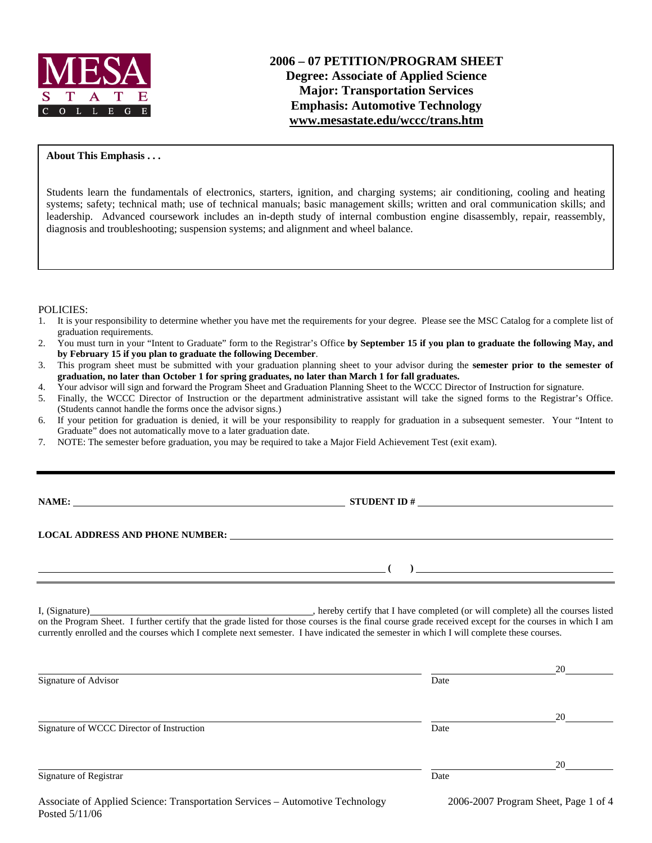

### **About This Emphasis . . .**

Students learn the fundamentals of electronics, starters, ignition, and charging systems; air conditioning, cooling and heating systems; safety; technical math; use of technical manuals; basic management skills; written and oral communication skills; and leadership. Advanced coursework includes an in-depth study of internal combustion engine disassembly, repair, reassembly, diagnosis and troubleshooting; suspension systems; and alignment and wheel balance.

POLICIES:

- 1. It is your responsibility to determine whether you have met the requirements for your degree. Please see the MSC Catalog for a complete list of graduation requirements.
- 2. You must turn in your "Intent to Graduate" form to the Registrar's Office **by September 15 if you plan to graduate the following May, and by February 15 if you plan to graduate the following December**.
- 3. This program sheet must be submitted with your graduation planning sheet to your advisor during the **semester prior to the semester of graduation, no later than October 1 for spring graduates, no later than March 1 for fall graduates.**
- 4. Your advisor will sign and forward the Program Sheet and Graduation Planning Sheet to the WCCC Director of Instruction for signature.
- 5. Finally, the WCCC Director of Instruction or the department administrative assistant will take the signed forms to the Registrar's Office. (Students cannot handle the forms once the advisor signs.)
- 6. If your petition for graduation is denied, it will be your responsibility to reapply for graduation in a subsequent semester. Your "Intent to Graduate" does not automatically move to a later graduation date.
- 7. NOTE: The semester before graduation, you may be required to take a Major Field Achievement Test (exit exam).

| <b>NAME:</b> |
|--------------|
|--------------|

**NAMES ID ANALYSIS ID A LIMIT ID A** 2 LIMIT ID A 2 LIMIT ID A 2 LIMIT ID A 2 LIMIT ID A 2 LIMIT ID A 2 LIMIT ID A 2 LIMIT ID A 2 LIMIT ID A 2 LIMIT ID A 2 LIMIT ID A 2 LIMIT ID A 2 LIMIT ID A 2 LIMIT ID A 2 LIMIT ID A 2 LI

**LOCAL ADDRESS AND PHONE NUMBER:**

I, (Signature) , hereby certify that I have completed (or will complete) all the courses listed on the Program Sheet. I further certify that the grade listed for those courses is the final course grade received except for the courses in which I am currently enrolled and the courses which I complete next semester. I have indicated the semester in which I will complete these courses.

| Signature of Advisor                      | Date | 20 |
|-------------------------------------------|------|----|
|                                           |      |    |
| Signature of WCCC Director of Instruction | Date | 20 |
| Signature of Registrar                    | Date | 20 |

 **( )**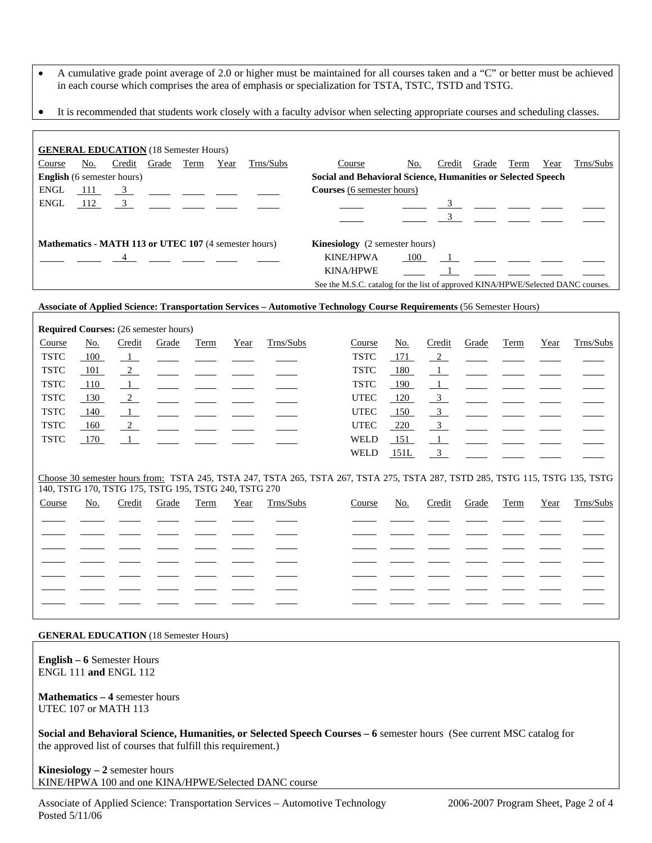- A cumulative grade point average of 2.0 or higher must be maintained for all courses taken and a "C" or better must be achieved in each course which comprises the area of emphasis or specialization for TSTA, TSTC, TSTD and TSTG.
- It is recommended that students work closely with a faculty advisor when selecting appropriate courses and scheduling classes.

| <b>GENERAL EDUCATION</b> (18 Semester Hours)                                                   |     |            |                |      |      |            |                                                                                  |     |        |       |      |      |           |
|------------------------------------------------------------------------------------------------|-----|------------|----------------|------|------|------------|----------------------------------------------------------------------------------|-----|--------|-------|------|------|-----------|
| Course                                                                                         | No. | Credit     | Grade          | Term | Year | Trns/Subs  | Course                                                                           | No. | Credit | Grade | Term | Year | Trns/Subs |
| <b>English</b> (6 semester hours)                                                              |     |            |                |      |      |            | Social and Behavioral Science, Humanities or Selected Speech                     |     |        |       |      |      |           |
| ENGL                                                                                           |     | $111 \t 3$ |                |      |      |            | <b>Courses</b> (6 semester hours)                                                |     |        |       |      |      |           |
| ENGL                                                                                           |     |            |                |      |      | $112 \t 3$ |                                                                                  |     |        |       |      |      |           |
|                                                                                                |     |            |                |      |      |            |                                                                                  |     |        |       |      |      |           |
| Mathematics - MATH 113 or UTEC 107 (4 semester hours)<br><b>Kinesiology</b> (2 semester hours) |     |            |                |      |      |            |                                                                                  |     |        |       |      |      |           |
|                                                                                                |     |            | $\overline{4}$ |      |      |            | <b>KINE/HPWA</b>                                                                 | 100 |        |       |      |      |           |
|                                                                                                |     |            |                |      |      |            | <b>KINA/HPWE</b>                                                                 |     |        |       |      |      |           |
|                                                                                                |     |            |                |      |      |            | See the M.S.C. catalog for the list of approved KINA/HPWE/Selected DANC courses. |     |        |       |      |      |           |

### **Associate of Applied Science: Transportation Services – Automotive Technology Course Requirements** (56 Semester Hours)

| <b>Required Courses:</b> (26 semester hours) |       |                |                                                                        |      |      |           |             |            |        |                                                                                                                       |      |      |           |
|----------------------------------------------|-------|----------------|------------------------------------------------------------------------|------|------|-----------|-------------|------------|--------|-----------------------------------------------------------------------------------------------------------------------|------|------|-----------|
| Course                                       | No.   | Credit         | Grade                                                                  | Term | Year | Trns/Subs | Course      | <u>No.</u> | Credit | Grade                                                                                                                 | Term | Year | Trns/Subs |
| <b>TSTC</b>                                  | 100   |                | $\frac{1}{\sqrt{2}}$ and $\frac{1}{\sqrt{2}}$ and $\frac{1}{\sqrt{2}}$ |      |      |           | <b>TSTC</b> | <u>171</u> |        | $\frac{2}{\sqrt{2}}$ $\frac{1}{\sqrt{2}}$ $\frac{1}{\sqrt{2}}$                                                        |      |      |           |
| <b>TSTC</b>                                  | - 101 | $\frac{2}{2}$  |                                                                        |      |      |           | <b>TSTC</b> | <u>180</u> |        | <u> 1 -  Le  -  Le  -  Le  -  Le  -  Le  -  Le  -  Le  -  Le  -  Le  -  Le  -  Le  -  Le  -  Le  -  Le  -  Le  - </u> |      |      |           |
| <b>TSTC</b>                                  | - 110 |                |                                                                        |      |      |           | <b>TSTC</b> | 190        |        | $1$ and $1$ and $1$ and $1$ and $1$ and $1$                                                                           |      |      |           |
| <b>TSTC</b>                                  | 130   | $\frac{2}{2}$  | <u> 1999 - Andrea Maria Alemania, primeira a pre</u>                   |      |      |           | <b>UTEC</b> | 120        |        | $\frac{3}{2}$ $\frac{1}{2}$ $\frac{1}{2}$ $\frac{1}{2}$ $\frac{1}{2}$                                                 |      |      |           |
| <b>TSTC</b>                                  | - 140 |                |                                                                        |      |      |           | <b>UTEC</b> | 150        |        | $\frac{3}{2}$ $\frac{1}{2}$ $\frac{1}{2}$ $\frac{1}{2}$ $\frac{1}{2}$                                                 |      |      |           |
| <b>TSTC</b>                                  | 160   | $\overline{2}$ |                                                                        |      |      |           | <b>UTEC</b> | <u>220</u> |        | $\overline{3}$                                                                                                        |      |      |           |
| <b>TSTC</b>                                  | 170   |                | $\frac{1}{\sqrt{2}}$ and $\frac{1}{\sqrt{2}}$ and $\frac{1}{\sqrt{2}}$ |      |      |           | WELD        | 151        |        | $\mathbf{1}$ and $\mathbf{1}$ and $\mathbf{1}$ and $\mathbf{1}$                                                       |      |      |           |
|                                              |       |                |                                                                        |      |      |           | WELD        | 151L       |        |                                                                                                                       |      |      |           |
|                                              |       |                |                                                                        |      |      |           |             |            |        |                                                                                                                       |      |      |           |

Choose 30 semester hours from: TSTA 245, TSTA 247, TSTA 265, TSTA 267, TSTA 275, TSTA 287, TSTD 285, TSTG 115, TSTG 135, TSTG 140, TSTG 170, TSTG 175, TSTG 195, TSTG 240, TSTG 270

| Course | No. | Credit Grade Term |  | Year Trns/Subs | Course | <u>No.</u> |  |  | Credit Grade Term Year Trns/Subs |
|--------|-----|-------------------|--|----------------|--------|------------|--|--|----------------------------------|
|        |     |                   |  |                |        |            |  |  |                                  |
|        |     |                   |  |                |        |            |  |  |                                  |
|        |     |                   |  |                |        |            |  |  |                                  |
|        |     |                   |  |                |        |            |  |  |                                  |
|        |     |                   |  |                |        |            |  |  |                                  |
|        |     |                   |  |                |        |            |  |  |                                  |
|        |     |                   |  |                |        |            |  |  |                                  |
|        |     |                   |  |                |        |            |  |  |                                  |

### **GENERAL EDUCATION** (18 Semester Hours)

**English – 6** Semester Hours ENGL 111 **and** ENGL 112

**Mathematics – 4** semester hours UTEC 107 or MATH 113

**Social and Behavioral Science, Humanities, or Selected Speech Courses – 6** semester hours (See current MSC catalog for the approved list of courses that fulfill this requirement.)

**Kinesiology – 2** semester hours KINE/HPWA 100 and one KINA/HPWE/Selected DANC course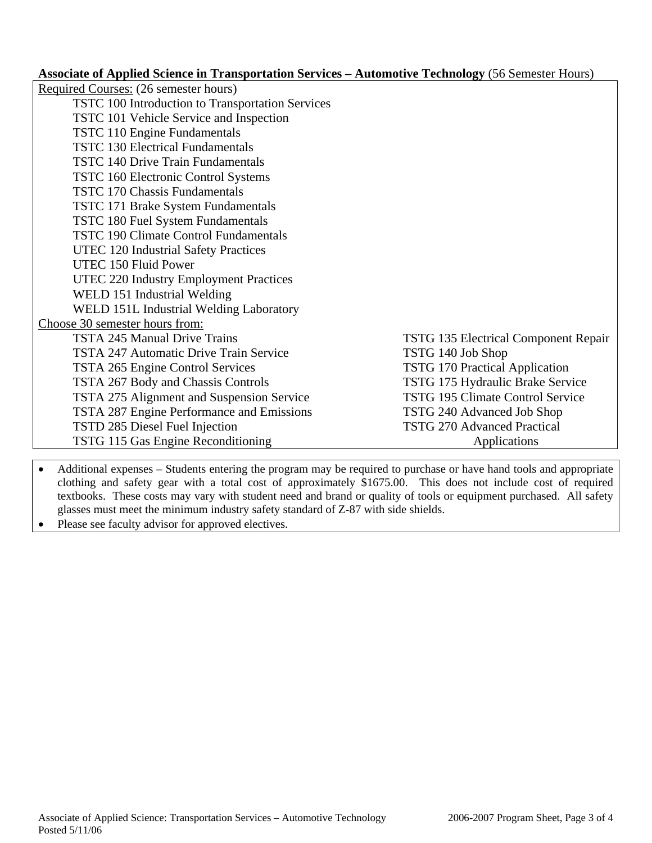**Associate of Applied Science in Transportation Services – Automotive Technology** (56 Semester Hours)

| Required Courses: (26 semester hours)            |                                             |
|--------------------------------------------------|---------------------------------------------|
| TSTC 100 Introduction to Transportation Services |                                             |
| TSTC 101 Vehicle Service and Inspection          |                                             |
| TSTC 110 Engine Fundamentals                     |                                             |
| <b>TSTC 130 Electrical Fundamentals</b>          |                                             |
| <b>TSTC 140 Drive Train Fundamentals</b>         |                                             |
| <b>TSTC 160 Electronic Control Systems</b>       |                                             |
| <b>TSTC 170 Chassis Fundamentals</b>             |                                             |
| <b>TSTC 171 Brake System Fundamentals</b>        |                                             |
| TSTC 180 Fuel System Fundamentals                |                                             |
| TSTC 190 Climate Control Fundamentals            |                                             |
| UTEC 120 Industrial Safety Practices             |                                             |
| UTEC 150 Fluid Power                             |                                             |
| UTEC 220 Industry Employment Practices           |                                             |
| WELD 151 Industrial Welding                      |                                             |
| WELD 151L Industrial Welding Laboratory          |                                             |
| Choose 30 semester hours from:                   |                                             |
| <b>TSTA 245 Manual Drive Trains</b>              | <b>TSTG 135 Electrical Component Repair</b> |
| TSTA 247 Automatic Drive Train Service           | TSTG 140 Job Shop                           |
| TSTA 265 Engine Control Services                 | TSTG 170 Practical Application              |
| TSTA 267 Body and Chassis Controls               | TSTG 175 Hydraulic Brake Service            |
| TSTA 275 Alignment and Suspension Service        | <b>TSTG 195 Climate Control Service</b>     |
| TSTA 287 Engine Performance and Emissions        | TSTG 240 Advanced Job Shop                  |
| TSTD 285 Diesel Fuel Injection                   | <b>TSTG 270 Advanced Practical</b>          |
| TSTG 115 Gas Engine Reconditioning               | Applications                                |

• Additional expenses – Students entering the program may be required to purchase or have hand tools and appropriate clothing and safety gear with a total cost of approximately \$1675.00. This does not include cost of required textbooks. These costs may vary with student need and brand or quality of tools or equipment purchased. All safety glasses must meet the minimum industry safety standard of Z-87 with side shields.

• Please see faculty advisor for approved electives.